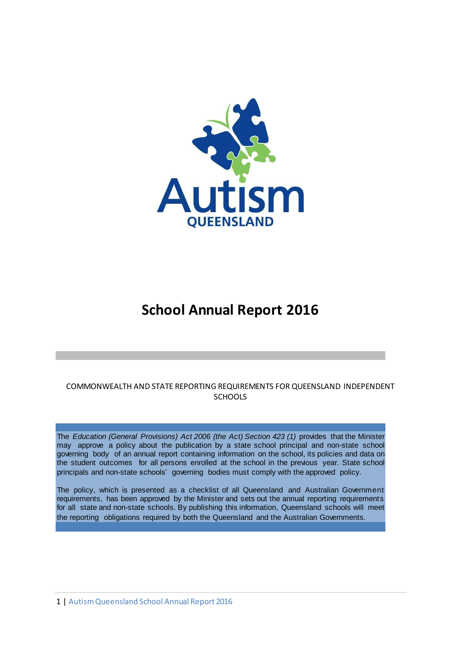

# **School Annual Report 2016**

## COMMONWEALTH AND STATE REPORTING REQUIREMENTS FOR QUEENSLAND INDEPENDENT **SCHOOLS**

The *Education (General Provisions) Act 2006 (the Act) Section 423 (1)* provides that the Minister may approve a policy about the publication by a state school principal and non-state school governing body of an annual report containing information on the school, its policies and data on the student outcomes for all persons enrolled at the school in the previous year. State school principals and non-state schools' governing bodies must comply with the approved policy*.*

The policy, which is presented as a checklist of all Queensland and Australian Government requirements, has been approved by the Minister and sets out the annual reporting requirements for all state and non-state schools. By publishing this information, Queensland schools will meet the reporting obligations required by both the Queensland and the Australian Governments.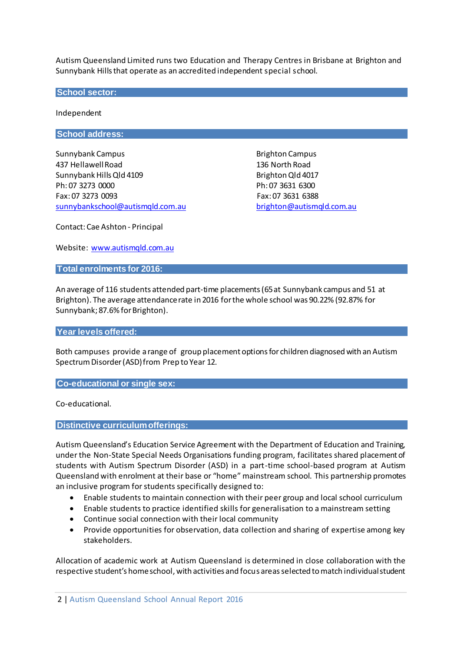Autism Queensland Limited runs two Education and Therapy Centres in Brisbane at Brighton and Sunnybank Hills that operate as an accredited independent special school.

**School sector:**

Independent

**School address:**

Sunnybank Campus **Brighton Campus** Brighton Campus 437 HellawellRoad 136 North Road Sunnybank Hills Qld 4109 Brighton Qld 4017 Ph: 07 3273 0000 Ph: 07 3631 6300 Fax: 07 3273 0093 Fax: 07 3631 6388 [sunnybankschool@autismqld.com.au](mailto:sunnybankschool@autismqld.com.au) [brighton@autismqld.com.au](mailto:righton@autismqld.com.au)

Contact: Cae Ashton - Principal

Website: [www.autismqld.com.au](http://www.autismqld.com.au/)

**Total enrolments for 2016:**

An average of 116 students attended part-time placements(65at Sunnybank campus and 51 at Brighton). The average attendance rate in 2016 for the whole school was 90.22% (92.87% for Sunnybank; 87.6% for Brighton).

#### **Year levels offered:**

Both campuses provide a range of group placement options for children diagnosed with an Autism SpectrumDisorder(ASD)from Prep to Year 12.

**Co-educational or single sex:**

Co-educational.

**Distinctive curriculumofferings:**

Autism Queensland's Education Service Agreement with the Department of Education and Training, under the Non-State Special Needs Organisations funding program, facilitates shared placement of students with Autism Spectrum Disorder (ASD) in a part-time school-based program at Autism Queensland with enrolment at their base or "home" mainstream school. This partnership promotes an inclusive program for students specifically designed to:

- Enable students to maintain connection with their peer group and local school curriculum
- Enable students to practice identified skills for generalisation to a mainstream setting
- Continue social connection with their local community
- Provide opportunities for observation, data collection and sharing of expertise among key stakeholders.

Allocation of academic work at Autism Queensland is determined in close collaboration with the respective student's home school, with activities and focus areas selected to match individual student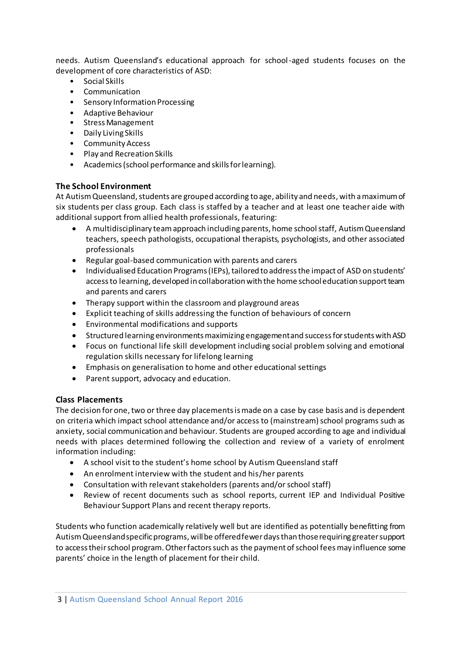needs. Autism Queensland's educational approach for school-aged students focuses on the development of core characteristics of ASD:

- Social Skills
- Communication
- Sensory Information Processing
- Adaptive Behaviour
- Stress Management
- Daily Living Skills
- Community Access
- Play and Recreation Skills
- Academics (school performance and skills for learning).

# **The School Environment**

At Autism Queensland, students are grouped according to age, ability and needs, with a maximum of six students per class group. Each class is staffed by a teacher and at least one teacher aide with additional support from allied health professionals, featuring:

- A multidisciplinary team approach including parents, home school staff, Autism Queensland teachers, speech pathologists, occupational therapists, psychologists, and other associated professionals
- Regular goal-based communication with parents and carers
- Individualised Education Programs (IEPs), tailored to address the impact of ASD on students' access to learning, developed in collaboration with the home school education support team and parents and carers
- Therapy support within the classroom and playground areas
- Explicit teaching of skills addressing the function of behaviours of concern
- Environmental modifications and supports
- Structured learning environments maximizing engagement and success for students with ASD
- Focus on functional life skill development including social problem solving and emotional regulation skills necessary for lifelong learning
- Emphasis on generalisation to home and other educational settings
- Parent support, advocacy and education.

## **Class Placements**

The decision for one, two or three day placements is made on a case by case basis and is dependent on criteria which impact school attendance and/or access to (mainstream) school programs such as anxiety, social communication and behaviour. Students are grouped according to age and individual needs with places determined following the collection and review of a variety of enrolment information including:

- A school visit to the student's home school by Autism Queensland staff
- An enrolment interview with the student and his/her parents
- Consultation with relevant stakeholders (parents and/or school staff)
- Review of recent documents such as school reports, current IEP and Individual Positive Behaviour Support Plans and recent therapy reports.

Students who function academically relatively well but are identified as potentially benefitting from Autism Queenslandspecific programs, will be offered fewer days than those requiring greater support to access their school program. Other factors such as the payment of school fees may influence some parents' choice in the length of placement for their child.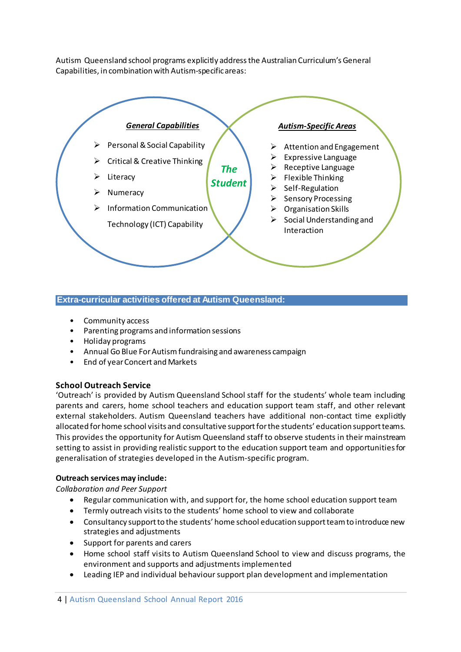Autism Queensland school programs explicitly addressthe Australian Curriculum's General Capabilities, in combination with Autism-specific areas:



### **Extra-curricular activities offered at Autism Queensland:**

- Community access
- Parenting programs and information sessions
- Holiday programs
- Annual Go Blue For Autismfundraising and awareness campaign
- End of year Concert and Markets

## **School Outreach Service**

'Outreach' is provided by Autism Queensland School staff for the students' whole team including parents and carers, home school teachers and education support team staff, and other relevant external stakeholders. Autism Queensland teachers have additional non-contact time explicitly allocated for home school visits and consultative support for the students' education support teams. This provides the opportunity for Autism Queensland staff to observe students in their mainstream setting to assist in providing realistic support to the education support team and opportunities for generalisation of strategies developed in the Autism-specific program.

#### **Outreach services may include:**

*Collaboration and Peer Support*

- Regular communication with, and support for, the home school education support team
- Termly outreach visits to the students' home school to view and collaborate
- Consultancy support to the students' home school education support team to introduce new strategies and adjustments
- Support for parents and carers
- Home school staff visits to Autism Queensland School to view and discuss programs, the environment and supports and adjustments implemented
- Leading IEP and individual behaviour support plan development and implementation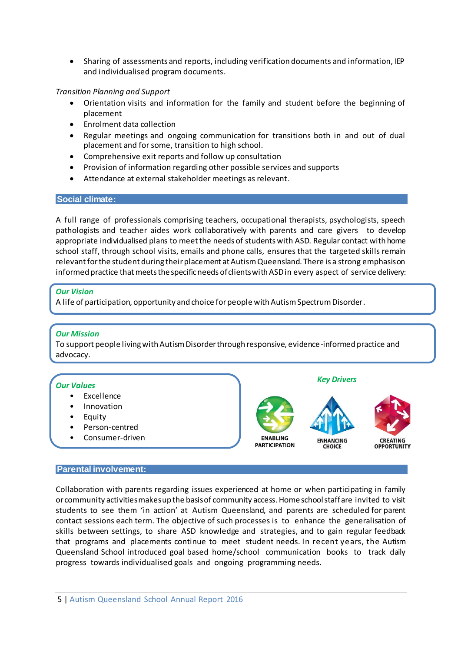Sharing of assessments and reports, including verification documents and information, IEP and individualised program documents.

#### *Transition Planning and Support*

- Orientation visits and information for the family and student before the beginning of placement
- Enrolment data collection
- Regular meetings and ongoing communication for transitions both in and out of dual placement and for some, transition to high school.
- Comprehensive exit reports and follow up consultation
- Provision of information regarding other possible services and supports
- Attendance at external stakeholder meetings as relevant.

## **Social climate:**

A full range of professionals comprising teachers, occupational therapists, psychologists, speech pathologists and teacher aides work collaboratively with parents and care givers to develop appropriate individualised plans to meet the needs of students with ASD. Regular contact with home school staff, through school visits, emails and phone calls, ensures that the targeted skills remain relevantfor the student during their placement at Autism Queensland. There is a strong emphasis on informed practice that meets the specific needs of clients with ASD in every aspect of service delivery:

#### *Our Vision*

A life of participation, opportunity and choice for people with Autism Spectrum Disorder.

#### *Our Mission*

To support people living with Autism Disorder through responsive, evidence-informed practice and advocacy.

*Key Drivers*

**FNHANCING** 

CHOICE

CREATING

**OPPORTUNITY** 

#### *Our Values*

- Excellence
- Innovation
- Equity
- Person-centred
- Consumer-driven

#### **Parental involvement:**

Collaboration with parents regarding issues experienced at home or when participating in family or community activitiesmakesup the basisof community access.Homeschoolstaffare invited to visit students to see them 'in action' at Autism Queensland, and parents are scheduled for parent contact sessions each term. The objective of such processes is to enhance the generalisation of skills between settings, to share ASD knowledge and strategies, and to gain regular feedback that programs and placements continue to meet student needs. In recent years, the Autism Queensland School introduced goal based home/school communication books to track daily progress towards individualised goals and ongoing programming needs.

**ENABLING** 

**PARTICIPATION**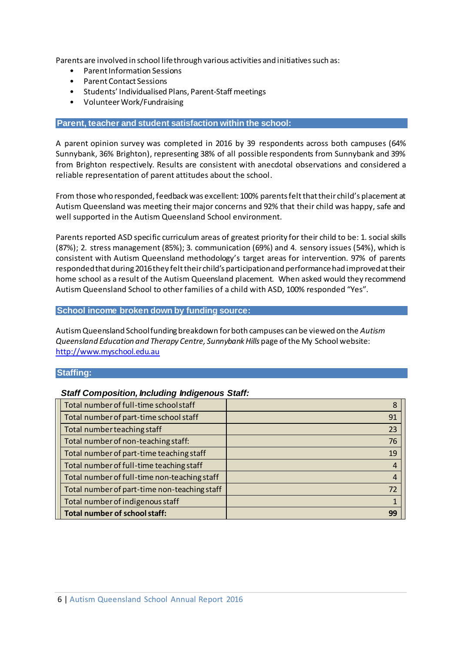Parents are involved in school life through various activities and initiatives such as:

- Parent Information Sessions
- Parent Contact Sessions
- Students' Individualised Plans, Parent-Staff meetings
- VolunteerWork/Fundraising

## **Parent, teacher and student satisfaction within the school:**

A parent opinion survey was completed in 2016 by 39 respondents across both campuses (64% Sunnybank, 36% Brighton), representing 38% of all possible respondents from Sunnybank and 39% from Brighton respectively. Results are consistent with anecdotal observations and considered a reliable representation of parent attitudes about the school.

From those who responded, feedback was excellent: 100% parents felt that their child's placement at Autism Queensland was meeting their major concerns and 92% that their child was happy, safe and well supported in the Autism Queensland School environment.

Parents reported ASD specific curriculum areas of greatest priority for their child to be: 1. social skills (87%); 2. stress management (85%); 3. communication (69%) and 4. sensory issues (54%), which is consistent with Autism Queensland methodology's target areas for intervention. 97% of parents respondedthat during 2016they felt their child's participation and performance had improved at their home school as a result of the Autism Queensland placement. When asked would they recommend Autism Queensland School to other families of a child with ASD, 100% responded "Yes".

#### **School income broken down by funding source:**

Autism Queensland School funding breakdown for both campuses can be viewed on the *Autism Queensland Education and Therapy Centre, Sunnybank Hills* page of the My School website: [http://www.myschool.edu.au](http://www.myschool.edu.au/)

## **Staffing:**

## *Staff Composition, Including Indigenous Staff:*

| Total number of full-time school staff       | 8              |
|----------------------------------------------|----------------|
| Total number of part-time school staff       | 91             |
| Total number teaching staff                  | 23             |
| Total number of non-teaching staff:          | 76             |
| Total number of part-time teaching staff     | 19             |
| Total number of full-time teaching staff     | 4              |
| Total number of full-time non-teaching staff | $\overline{4}$ |
| Total number of part-time non-teaching staff | 72             |
| Total number of indigenous staff             | 1              |
| <b>Total number of school staff:</b>         | 99             |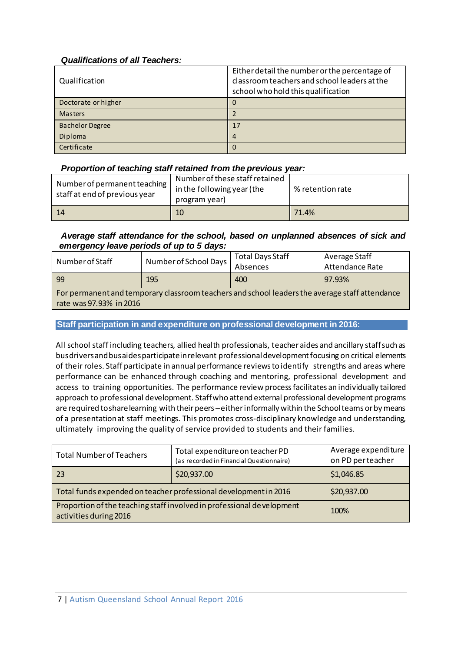# *Qualifications of all Teachers:*

| Qualification          | Either detail the number or the percentage of<br>classroom teachers and school leaders at the<br>school who hold this qualification |
|------------------------|-------------------------------------------------------------------------------------------------------------------------------------|
| Doctorate or higher    | 0                                                                                                                                   |
| <b>Masters</b>         |                                                                                                                                     |
| <b>Bachelor Degree</b> | 17                                                                                                                                  |
| Diploma                |                                                                                                                                     |
| Certificate            |                                                                                                                                     |

# *Proportion of teaching staff retained from the previous year:*

| Number of permanent teaching<br>staff at end of previous year | Number of these staff retained |                  |
|---------------------------------------------------------------|--------------------------------|------------------|
|                                                               | in the following year (the     | % retention rate |
|                                                               | program year)                  |                  |
| 14                                                            | 10                             | 71.4%            |

# *Average staff attendance for the school, based on unplanned absences of sick and emergency leave periods of up to 5 days:*

| Number of Staff                                                                                | Number of School Days | <b>Total Days Staff</b><br>Absences | Average Staff<br>Attendance Rate |  |  |
|------------------------------------------------------------------------------------------------|-----------------------|-------------------------------------|----------------------------------|--|--|
| -99                                                                                            | 195                   | 400                                 | 97.93%                           |  |  |
| For permanent and temporary classroom teachers and school leaders the average staff attendance |                       |                                     |                                  |  |  |
| rate was 97.93% in 2016                                                                        |                       |                                     |                                  |  |  |

## **Staff participation in and expenditure on professional development in 2016:**

All school staff including teachers, allied health professionals, teacher aides and ancillary staffsuch as busdriversandbusaidesparticipateinrelevant professional development focusing on critical elements of their roles. Staff participate in annual performance reviewsto identify strengths and areas where performance can be enhanced through coaching and mentoring, professional development and access to training opportunities. The performance review processfacilitates an individually tailored approach to professional development. Staffwho attend external professional development programs are required toshare learning with their peers –either informally within the School teams or by means of a presentationat staff meetings. This promotes cross-disciplinary knowledge and understanding, ultimately improving the quality of service provided to students and their families.

| <b>Total Number of Teachers</b>                                                                 | Total expenditure on teacher PD<br>(as recorded in Financial Questionnaire) | Average expenditure<br>on PD perteacher |
|-------------------------------------------------------------------------------------------------|-----------------------------------------------------------------------------|-----------------------------------------|
| 23                                                                                              | \$20,937.00                                                                 | \$1,046.85                              |
| Total funds expended on teacher professional development in 2016                                |                                                                             | \$20,937.00                             |
| Proportion of the teaching staff involved in professional development<br>activities during 2016 |                                                                             | 100%                                    |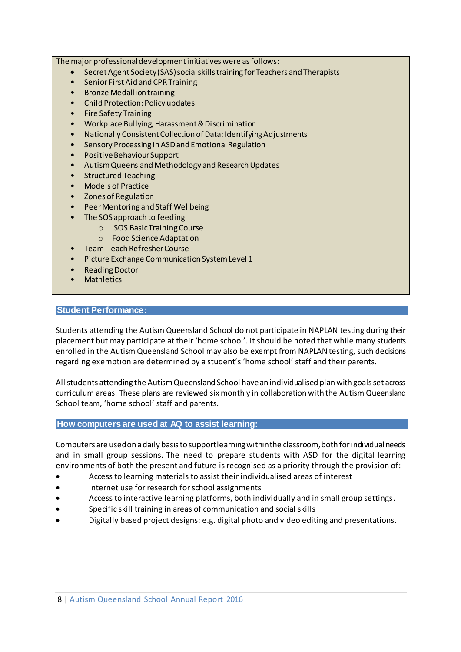The major professional development initiatives were as follows:

- Secret Agent Society (SAS) social skills training for Teachers and Therapists<br>• Senior First Aid and CPR Training
- Senior First Aid and CPR Training
- Bronze Medallion training
- Child Protection: Policy updates
- Fire Safety Training
- Workplace Bullying, Harassment & Discrimination
- Nationally Consistent Collection of Data: Identifying Adjustments
- Sensory Processing in ASD and Emotional Regulation
- Positive Behaviour Support
- Autism Queensland Methodology and Research Updates
- Structured Teaching
- Models of Practice
- Zones of Regulation
- Peer Mentoring and Staff Wellbeing
- The SOS approach to feeding
	- o SOS Basic Training Course
	- o Food Science Adaptation
- Team-Teach Refresher Course
- Picture Exchange Communication System Level 1
- Reading Doctor
- **Mathletics**

#### **Student Performance:**

Students attending the Autism Queensland School do not participate in NAPLAN testing during their placement but may participate at their 'home school'. It should be noted that while many students enrolled in the Autism Queensland School may also be exempt from NAPLAN testing, such decisions regarding exemption are determined by a student's 'home school' staff and their parents.

Allstudents attending the Autism Queensland School havean individualised plan with goals set across curriculum areas. These plans are reviewed six monthly in collaboration with the Autism Queensland School team, 'home school' staff and parents.

#### **How computers are used at AQ to assist learning:**

Computers are used on a daily basis to support learning within the classroom, both for individual needs and in small group sessions. The need to prepare students with ASD for the digital learning environments of both the present and future is recognised as a priority through the provision of:

- Access to learning materials to assist their individualised areas of interest
- Internet use for research for school assignments
- Access to interactive learning platforms, both individually and in small group settings.
- Specific skill training in areas of communication and social skills
- Digitally based project designs: e.g. digital photo and video editing and presentations.